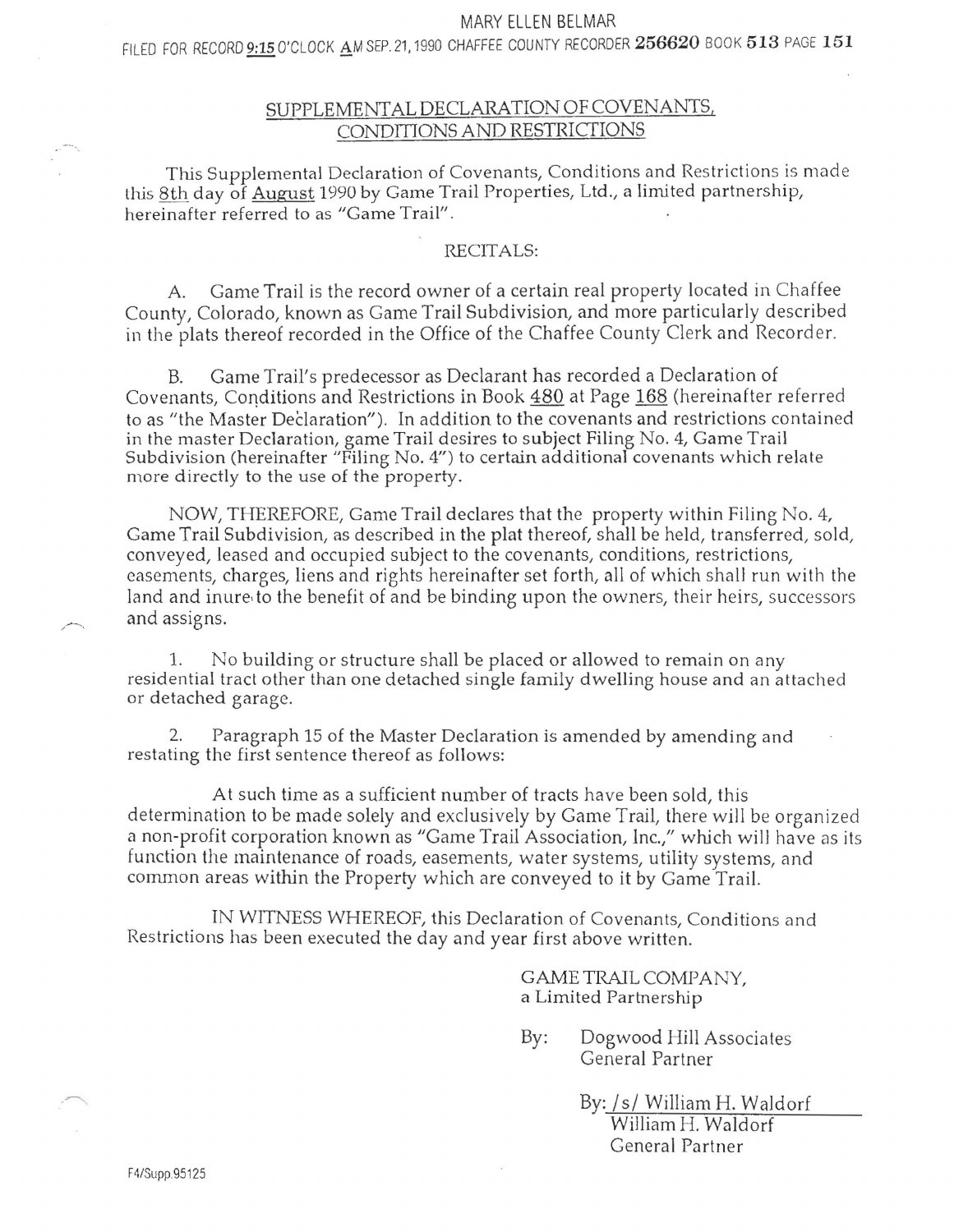### MARY ELLEN BELMAR

FILED FOR RECORD 9:15 O'CLOCK AM SEP. 21, 1990 CHAFFEE COUNTY RECORDER 256620 BOOK 513 PAGE 151

# SUPPLEMENTAL DECLARATION OF COVENANTS, CONDITIONS AND RESTRICTIONS

This Supplemental Declaration of Covenants, Conditions and Restrictions is made this 8th day of August 1990 by Game Trail Properties, Ltd., a limited partnership, hereinafter referred to as "Game Trail".

## RECITALS:

Game Trail is the record owner of a certain real property located in Chaffee County, Colorado, known as Game Trail Subdivision, and more particularly described in the plats thereof recorded in the Office of the Chaffee County Clerk and Recorder.

B. Game Trail's predecessor as Declarant has recorded a Declaration of Covenants, Conditions and Restrictions in Book 480 at Page 168 (hereinafter referred to as "the Master Declaration"). In addition to the covenants and restrictions contained in the master Declaration, game Trail desires to subject Filing No. 4, Game Trail Subdivision (hereinafter "Filing No. 4") to certain additional covenants which relate more directly to the use of the property.

NOW, THEREFORE, Game Trail declares that the property within Filing No. 4, Game Trail Subdivision, as described in the plat thereof, shall be held, transferred, sold, conveyed, leased and occupied subject to the covenants, conditions, restrictions, easements, charges, liens and rights hereinafter set forth, all of which shall run with the land and inure, to the benefit of and be binding upon the owners, their heirs, successors and assigns.

1. No building or structure shall be placed or allowed to remain on any residential tract other than one detached single family dwelling house and an attached or detached garage.

2. Paragraph 15 of the Master Declaration is amended by amending and restating the first sentence thereof as follows:

At such time as a sufficient number of tracts have been sold, this determination to be made solely and exclusively by Game Trail, there will be organized a non-profit corporation known as "Game Trail Association, lnc.," which will have as its function the maintenance of roads, easements, water systems, utility systems, and common areas within the Property which are conveyed to it by Game Trail.

IN WITNESS WHEREOF, this Declaration of Covenants, Conditions and Restrictions has been executed the day and year first above written.

> GAME TRAIL COMPANY, a Limited Partnership

By: Dogwood Hill Associates General Partner

> By: Is/ William H. Waldorf William H. Waldorf General Partner

 $\rightarrow$